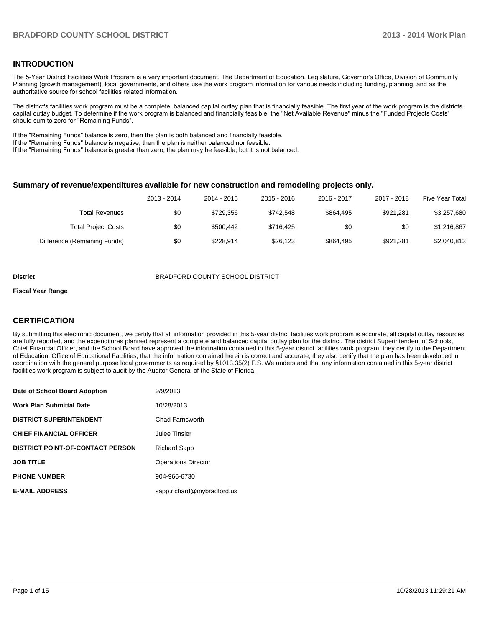## **INTRODUCTION**

The 5-Year District Facilities Work Program is a very important document. The Department of Education, Legislature, Governor's Office, Division of Community Planning (growth management), local governments, and others use the work program information for various needs including funding, planning, and as the authoritative source for school facilities related information.

The district's facilities work program must be a complete, balanced capital outlay plan that is financially feasible. The first year of the work program is the districts capital outlay budget. To determine if the work program is balanced and financially feasible, the "Net Available Revenue" minus the "Funded Projects Costs" should sum to zero for "Remaining Funds".

If the "Remaining Funds" balance is zero, then the plan is both balanced and financially feasible.

If the "Remaining Funds" balance is negative, then the plan is neither balanced nor feasible.

If the "Remaining Funds" balance is greater than zero, the plan may be feasible, but it is not balanced.

#### **Summary of revenue/expenditures available for new construction and remodeling projects only.**

|                              | 2013 - 2014 | 2014 - 2015 | 2015 - 2016 | 2016 - 2017 | 2017 - 2018 | Five Year Total |
|------------------------------|-------------|-------------|-------------|-------------|-------------|-----------------|
| Total Revenues               | \$0         | \$729.356   | \$742.548   | \$864.495   | \$921.281   | \$3,257,680     |
| <b>Total Project Costs</b>   | \$0         | \$500.442   | \$716.425   | \$0         | \$0         | \$1,216,867     |
| Difference (Remaining Funds) | \$0         | \$228.914   | \$26.123    | \$864.495   | \$921.281   | \$2,040,813     |

#### **District** BRADFORD COUNTY SCHOOL DISTRICT

#### **Fiscal Year Range**

## **CERTIFICATION**

By submitting this electronic document, we certify that all information provided in this 5-year district facilities work program is accurate, all capital outlay resources are fully reported, and the expenditures planned represent a complete and balanced capital outlay plan for the district. The district Superintendent of Schools, Chief Financial Officer, and the School Board have approved the information contained in this 5-year district facilities work program; they certify to the Department of Education, Office of Educational Facilities, that the information contained herein is correct and accurate; they also certify that the plan has been developed in coordination with the general purpose local governments as required by §1013.35(2) F.S. We understand that any information contained in this 5-year district facilities work program is subject to audit by the Auditor General of the State of Florida.

| Date of School Board Adoption           | 9/9/2013                   |
|-----------------------------------------|----------------------------|
| <b>Work Plan Submittal Date</b>         | 10/28/2013                 |
| <b>DISTRICT SUPERINTENDENT</b>          | Chad Farnsworth            |
| <b>CHIEF FINANCIAL OFFICER</b>          | Julee Tinsler              |
| <b>DISTRICT POINT-OF-CONTACT PERSON</b> | <b>Richard Sapp</b>        |
| <b>JOB TITLE</b>                        | <b>Operations Director</b> |
| <b>PHONE NUMBER</b>                     | 904-966-6730               |
| <b>E-MAIL ADDRESS</b>                   | sapp.richard@mybradford.us |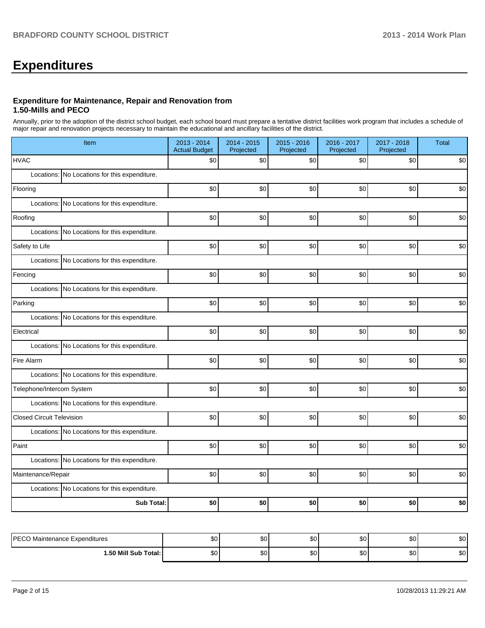# **Expenditures**

#### **Expenditure for Maintenance, Repair and Renovation from 1.50-Mills and PECO**

Annually, prior to the adoption of the district school budget, each school board must prepare a tentative district facilities work program that includes a schedule of major repair and renovation projects necessary to maintain the educational and ancillary facilities of the district.

| Item                             |                                               | 2013 - 2014<br><b>Actual Budget</b> | 2014 - 2015<br>Projected | $2015 - 2016$<br>Projected | 2016 - 2017<br>Projected | 2017 - 2018<br>Projected | <b>Total</b> |
|----------------------------------|-----------------------------------------------|-------------------------------------|--------------------------|----------------------------|--------------------------|--------------------------|--------------|
| <b>HVAC</b>                      |                                               | \$0                                 | \$0                      | \$0                        | \$0                      | \$0                      | \$0          |
|                                  | Locations: No Locations for this expenditure. |                                     |                          |                            |                          |                          |              |
| Flooring                         |                                               | \$0                                 | \$0                      | \$0                        | \$0                      | \$0                      | \$0          |
|                                  | Locations: No Locations for this expenditure. |                                     |                          |                            |                          |                          |              |
| Roofing                          |                                               | \$0                                 | \$0                      | \$0                        | \$0                      | \$0                      | \$0          |
|                                  | Locations: No Locations for this expenditure. |                                     |                          |                            |                          |                          |              |
| Safety to Life                   |                                               | \$0                                 | \$0                      | \$0                        | \$0                      | \$0                      | \$0          |
|                                  | Locations: No Locations for this expenditure. |                                     |                          |                            |                          |                          |              |
| Fencing                          |                                               | \$0                                 | \$0                      | \$0                        | \$0                      | \$0                      | \$0          |
|                                  | Locations: No Locations for this expenditure. |                                     |                          |                            |                          |                          |              |
| Parking                          |                                               | \$0                                 | \$0                      | \$0                        | \$0]                     | \$0                      | \$0          |
|                                  | Locations: No Locations for this expenditure. |                                     |                          |                            |                          |                          |              |
| Electrical                       |                                               | \$0                                 | \$0                      | \$0                        | \$0]                     | \$0                      | \$0          |
|                                  | Locations: No Locations for this expenditure. |                                     |                          |                            |                          |                          |              |
| Fire Alarm                       |                                               | \$0                                 | \$0                      | \$0                        | \$0                      | \$0                      | \$0          |
|                                  | Locations: No Locations for this expenditure. |                                     |                          |                            |                          |                          |              |
| Telephone/Intercom System        |                                               | \$0                                 | \$0                      | \$0                        | \$0                      | \$0                      | \$0          |
|                                  | Locations: No Locations for this expenditure. |                                     |                          |                            |                          |                          |              |
| <b>Closed Circuit Television</b> |                                               | \$0                                 | \$0                      | \$0                        | \$0]                     | \$0                      | \$0          |
|                                  | Locations: No Locations for this expenditure. |                                     |                          |                            |                          |                          |              |
| Paint                            |                                               | \$0                                 | \$0                      | \$0                        | \$0                      | \$0                      | \$0          |
|                                  | Locations: No Locations for this expenditure. |                                     |                          |                            |                          |                          |              |
| Maintenance/Repair               |                                               | \$0                                 | \$0                      | \$0                        | \$0                      | \$0                      | \$0          |
|                                  | Locations: No Locations for this expenditure. |                                     |                          |                            |                          |                          |              |
|                                  | <b>Sub Total:</b>                             | \$0                                 | \$0                      | \$0                        | \$O                      | \$0                      | \$0          |
|                                  |                                               |                                     |                          |                            |                          |                          |              |
| DECO Mointenance Evangeliuses    |                                               | $\sim$                              | $\sim$                   | اهه                        | ا مہ                     | $\sim$                   | $\mathbf{C}$ |

| I PECO M≏<br>Maintenance Expenditures<br>∟ບ∪ | ີ<br>υU      | $\sim$<br>w. | ሖጣ<br>- JU   | ^^<br>w | $\sim$<br>ັບປ | \$0 |
|----------------------------------------------|--------------|--------------|--------------|---------|---------------|-----|
| 1.50 Mill Sub Total: I                       | $\sim$<br>ΦU | ጦጣ<br>w      | ሖጣ<br>- JU - | ^^<br>w | $\sim$<br>υυ  | \$0 |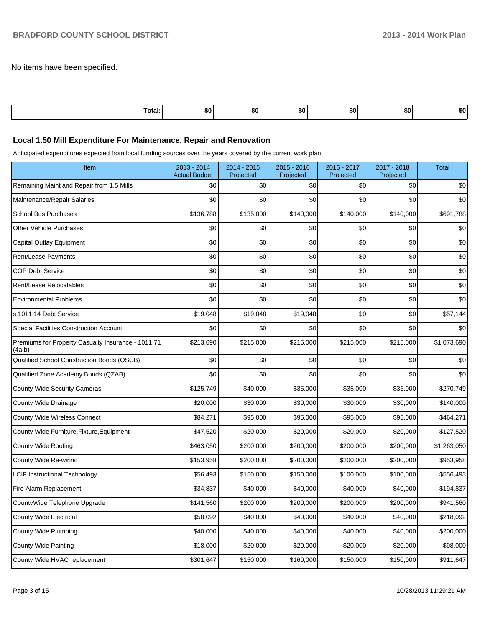No items have been specified.

| <b>Fotal:</b><br>. | \$0 | .so' | -SO ! | .so · | <b>SO</b> | æи |
|--------------------|-----|------|-------|-------|-----------|----|

## **Local 1.50 Mill Expenditure For Maintenance, Repair and Renovation**

Anticipated expenditures expected from local funding sources over the years covered by the current work plan.

| Item                                                         | 2013 - 2014<br><b>Actual Budget</b> | 2014 - 2015<br>Projected | $2015 - 2016$<br>Projected | 2016 - 2017<br>Projected | 2017 - 2018<br>Projected | <b>Total</b> |
|--------------------------------------------------------------|-------------------------------------|--------------------------|----------------------------|--------------------------|--------------------------|--------------|
| Remaining Maint and Repair from 1.5 Mills                    | \$0                                 | \$0                      | \$0                        | \$0                      | \$0                      | \$0          |
| Maintenance/Repair Salaries                                  | \$0                                 | \$0                      | \$0                        | \$0                      | \$0                      | \$0          |
| <b>School Bus Purchases</b>                                  | \$136,788                           | \$135,000                | \$140,000                  | \$140,000                | \$140,000                | \$691,788    |
| <b>Other Vehicle Purchases</b>                               | \$0                                 | \$0                      | \$0                        | \$0                      | \$0                      | \$0          |
| Capital Outlay Equipment                                     | \$0                                 | \$0                      | \$0                        | \$0                      | \$0                      | \$0          |
| Rent/Lease Payments                                          | \$0                                 | \$0                      | \$0                        | \$0                      | \$0                      | \$0          |
| <b>COP Debt Service</b>                                      | \$0                                 | \$0                      | \$0                        | \$0                      | \$0                      | \$0          |
| Rent/Lease Relocatables                                      | \$0                                 | \$0                      | \$0                        | \$0                      | \$0                      | \$0          |
| <b>Environmental Problems</b>                                | \$0                                 | \$0                      | \$0                        | \$0                      | \$0                      | \$0          |
| s.1011.14 Debt Service                                       | \$19,048                            | \$19,048                 | \$19,048                   | \$0                      | \$0                      | \$57,144     |
| <b>Special Facilities Construction Account</b>               | \$0                                 | \$0                      | \$0                        | \$0                      | \$0                      | \$0          |
| Premiums for Property Casualty Insurance - 1011.71<br>(4a,b) | \$213,690                           | \$215,000                | \$215,000                  | \$215,000                | \$215,000                | \$1,073,690  |
| Qualified School Construction Bonds (QSCB)                   | \$0                                 | \$0                      | \$0                        | \$0                      | \$0                      | \$0          |
| Qualified Zone Academy Bonds (QZAB)                          | \$0                                 | \$0                      | \$0                        | \$0                      | \$0                      | \$0          |
| <b>County Wide Security Cameras</b>                          | \$125,749                           | \$40,000                 | \$35,000                   | \$35,000                 | \$35,000                 | \$270,749    |
| County Wide Drainage                                         | \$20,000                            | \$30,000                 | \$30,000                   | \$30,000                 | \$30,000                 | \$140,000    |
| <b>County Wide Wireless Connect</b>                          | \$84,271                            | \$95,000                 | \$95,000                   | \$95,000                 | \$95,000                 | \$464,271    |
| County Wide Furniture, Fixture, Equipment                    | \$47,520                            | \$20,000                 | \$20,000                   | \$20,000                 | \$20,000                 | \$127,520    |
| County Wide Roofing                                          | \$463,050                           | \$200,000                | \$200,000                  | \$200,000                | \$200,000                | \$1,263,050  |
| County Wide Re-wiring                                        | \$153,958                           | \$200,000                | \$200,000                  | \$200,000                | \$200,000                | \$953,958    |
| <b>LCIF Instructional Technology</b>                         | \$56,493                            | \$150,000                | \$150,000                  | \$100,000                | \$100,000                | \$556,493    |
| Fire Alarm Replacement                                       | \$34,837                            | \$40,000                 | \$40,000                   | \$40,000                 | \$40,000                 | \$194,837    |
| CountyWide Telephone Upgrade                                 | \$141,560                           | \$200,000                | \$200,000                  | \$200,000                | \$200,000                | \$941,560    |
| <b>County Wide Electrical</b>                                | \$58,092                            | \$40,000                 | \$40,000                   | \$40,000                 | \$40,000                 | \$218,092    |
| County Wide Plumbing                                         | \$40,000                            | \$40,000                 | \$40,000                   | \$40,000                 | \$40,000                 | \$200,000    |
| County Wide Painting                                         | \$18,000                            | \$20,000                 | \$20,000                   | \$20,000                 | \$20,000                 | \$98,000     |
| County Wide HVAC replacement                                 | \$301,647                           | \$150,000                | \$160,000                  | \$150,000                | \$150,000                | \$911,647    |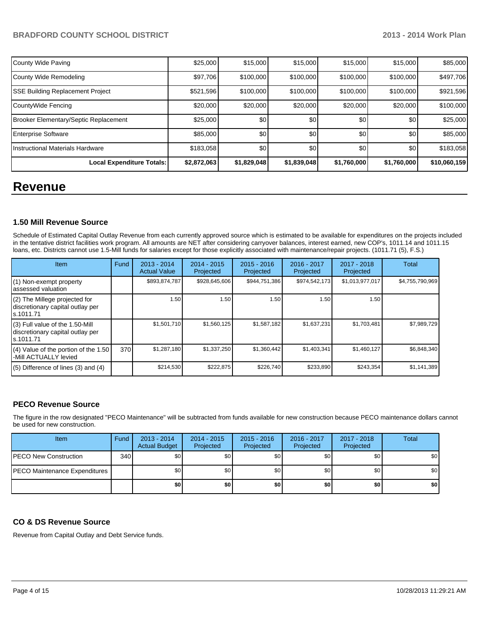## **BRADFORD COUNTY SCHOOL DISTRICT 2013 - 2013 - 2014 Work Plan**

| County Wide Paving                      | \$25,000    | \$15,000    | \$15,000    | \$15,000    | \$15,000    | \$85,000     |
|-----------------------------------------|-------------|-------------|-------------|-------------|-------------|--------------|
| County Wide Remodeling                  | \$97,706    | \$100,000   | \$100,000   | \$100,000   | \$100,000   | \$497,706    |
| <b>SSE Building Replacement Project</b> | \$521,596   | \$100,000   | \$100,000   | \$100,000   | \$100,000   | \$921,596    |
| CountyWide Fencing                      | \$20,000    | \$20,000    | \$20,000    | \$20,000    | \$20,000    | \$100,000    |
| Brooker Elementary/Septic Replacement   | \$25,000    | \$0         | \$0         | \$0         | \$0         | \$25,000     |
| <b>Enterprise Software</b>              | \$85,000    | \$0         | \$0         | \$0         | \$0         | \$85,000     |
| Instructional Materials Hardware        | \$183,058   | \$0         | \$0         | \$0         | \$0         | \$183,058    |
| Local Expenditure Totals:               | \$2,872,063 | \$1,829,048 | \$1,839,048 | \$1,760,000 | \$1,760,000 | \$10,060,159 |

## **Revenue**

## **1.50 Mill Revenue Source**

Schedule of Estimated Capital Outlay Revenue from each currently approved source which is estimated to be available for expenditures on the projects included in the tentative district facilities work program. All amounts are NET after considering carryover balances, interest earned, new COP's, 1011.14 and 1011.15 loans, etc. Districts cannot use 1.5-Mill funds for salaries except for those explicitly associated with maintenance/repair projects. (1011.71 (5), F.S.)

| Item                                                                              | Fund | $2013 - 2014$<br><b>Actual Value</b> | $2014 - 2015$<br>Projected | $2015 - 2016$<br>Projected | 2016 - 2017<br>Projected | 2017 - 2018<br>Projected | Total           |
|-----------------------------------------------------------------------------------|------|--------------------------------------|----------------------------|----------------------------|--------------------------|--------------------------|-----------------|
| (1) Non-exempt property<br>lassessed valuation                                    |      | \$893,874,787                        | \$928,645,606              | \$944,751,386              | \$974,542,173            | \$1,013,977,017          | \$4,755,790,969 |
| $(2)$ The Millege projected for<br>discretionary capital outlay per<br>ls.1011.71 |      | 1.50                                 | 1.50                       | 1.50                       | 1.50                     | 1.50                     |                 |
| (3) Full value of the 1.50-Mill<br>discretionary capital outlay per<br>Is.1011.71 |      | \$1,501,710                          | \$1,560,125                | \$1,587,182                | \$1,637,231              | \$1,703,481              | \$7,989,729     |
| $(4)$ Value of the portion of the 1.50<br>-Mill ACTUALLY levied                   | 370  | \$1,287,180                          | \$1,337,250                | \$1,360,442                | \$1,403,341              | \$1,460,127              | \$6,848,340     |
| $(5)$ Difference of lines $(3)$ and $(4)$                                         |      | \$214,530                            | \$222,875                  | \$226,740                  | \$233,890                | \$243,354                | \$1,141,389     |

## **PECO Revenue Source**

The figure in the row designated "PECO Maintenance" will be subtracted from funds available for new construction because PECO maintenance dollars cannot be used for new construction.

| Item                                  | Fund | $2013 - 2014$<br><b>Actual Budget</b> | $2014 - 2015$<br>Projected | $2015 - 2016$<br>Projected | 2016 - 2017<br>Projected | 2017 - 2018<br>Projected | Total |
|---------------------------------------|------|---------------------------------------|----------------------------|----------------------------|--------------------------|--------------------------|-------|
| <b>IPECO New Construction</b>         | 340  | \$0                                   | \$0                        | \$0                        | \$0 <sub>1</sub>         | \$0                      | \$0   |
| <b>IPECO Maintenance Expenditures</b> |      | \$0                                   | \$0                        | \$0                        | \$0 <sub>1</sub>         | \$0 I                    | \$0   |
|                                       |      | \$0                                   | \$0                        | \$0                        | \$0                      | \$O                      | \$0   |

## **CO & DS Revenue Source**

Revenue from Capital Outlay and Debt Service funds.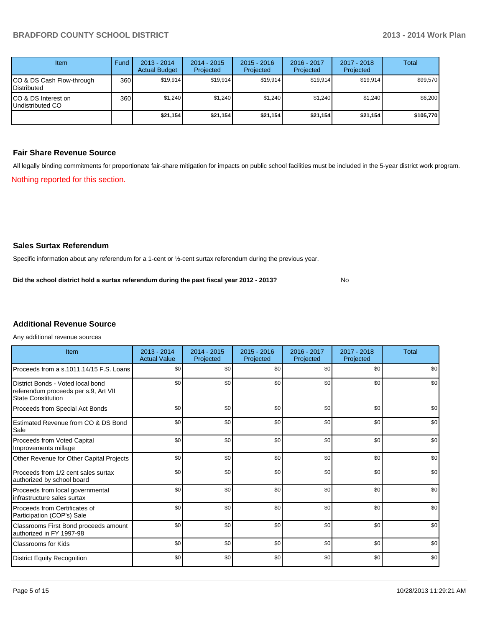| Item                                            | Fund | $2013 - 2014$<br><b>Actual Budget</b> | $2014 - 2015$<br>Projected | $2015 - 2016$<br>Projected | $2016 - 2017$<br>Projected | $2017 - 2018$<br>Projected | Total     |
|-------------------------------------------------|------|---------------------------------------|----------------------------|----------------------------|----------------------------|----------------------------|-----------|
| CO & DS Cash Flow-through<br><b>Distributed</b> | 360  | \$19.914                              | \$19.914                   | \$19.914                   | \$19.914                   | \$19.914                   | \$99,570  |
| CO & DS Interest on<br>Undistributed CO         | 360  | \$1,240                               | \$1,240                    | \$1,240                    | \$1,240                    | \$1,240                    | \$6,200   |
|                                                 |      | \$21,154                              | \$21,154                   | \$21,154                   | \$21,154                   | \$21,154                   | \$105,770 |

### **Fair Share Revenue Source**

Nothing reported for this section. All legally binding commitments for proportionate fair-share mitigation for impacts on public school facilities must be included in the 5-year district work program.

## **Sales Surtax Referendum**

Specific information about any referendum for a 1-cent or ½-cent surtax referendum during the previous year.

No **Did the school district hold a surtax referendum during the past fiscal year 2012 - 2013?**

## **Additional Revenue Source**

Any additional revenue sources

| Item                                                                                                   | $2013 - 2014$<br><b>Actual Value</b> | $2014 - 2015$<br>Projected | $2015 - 2016$<br>Projected | 2016 - 2017<br>Projected | $2017 - 2018$<br>Projected | Total |
|--------------------------------------------------------------------------------------------------------|--------------------------------------|----------------------------|----------------------------|--------------------------|----------------------------|-------|
| Proceeds from a s.1011.14/15 F.S. Loans                                                                | \$0 <sub>1</sub>                     | \$0                        | \$0                        | \$0                      | \$0                        | \$0   |
| District Bonds - Voted local bond<br>referendum proceeds per s.9, Art VII<br><b>State Constitution</b> | \$0                                  | \$0                        | \$0                        | \$0                      | \$0                        | \$0   |
| Proceeds from Special Act Bonds                                                                        | \$0                                  | \$0                        | \$0                        | \$0                      | \$0                        | \$0   |
| Estimated Revenue from CO & DS Bond<br>Sale                                                            | \$0                                  | \$0                        | \$0                        | \$0                      | \$0                        | \$0   |
| <b>Proceeds from Voted Capital</b><br>Improvements millage                                             | \$0                                  | \$0                        | \$0                        | \$0                      | \$0                        | \$0   |
| Other Revenue for Other Capital Projects                                                               | \$0                                  | \$0                        | \$0                        | \$0                      | \$0                        | \$0   |
| Proceeds from 1/2 cent sales surtax<br>authorized by school board                                      | \$0                                  | \$0                        | \$0                        | \$0                      | \$0                        | \$0   |
| Proceeds from local governmental<br>infrastructure sales surtax                                        | \$0                                  | \$0                        | \$0                        | \$0                      | \$0                        | \$0   |
| Proceeds from Certificates of<br>Participation (COP's) Sale                                            | \$0                                  | \$0                        | \$0                        | \$0                      | \$0                        | \$0   |
| Classrooms First Bond proceeds amount<br>authorized in FY 1997-98                                      | \$0                                  | \$0                        | \$0                        | \$0                      | \$0                        | \$0   |
| Classrooms for Kids                                                                                    | \$0                                  | \$0                        | \$0                        | \$0                      | \$0                        | \$0   |
| <b>District Equity Recognition</b>                                                                     | \$0                                  | \$0                        | \$0                        | \$0                      | \$0                        | \$0   |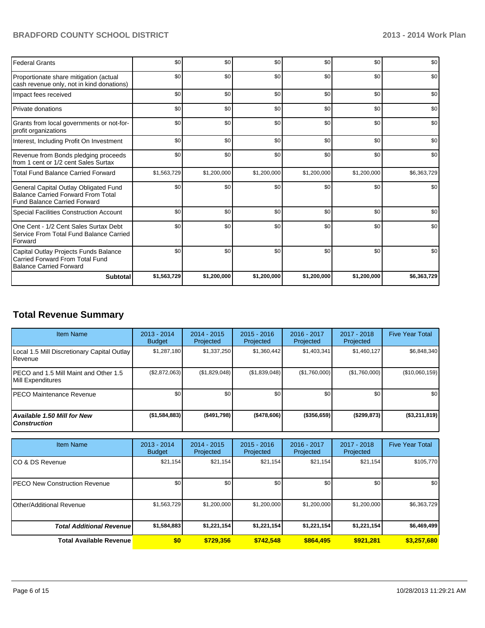## **BRADFORD COUNTY SCHOOL DISTRICT 2013 - 2014 Work Plan**

| <b>Federal Grants</b>                                                                                                     | \$0         | \$0         | \$0         | \$0         | \$0         | \$0         |
|---------------------------------------------------------------------------------------------------------------------------|-------------|-------------|-------------|-------------|-------------|-------------|
| Proportionate share mitigation (actual<br>cash revenue only, not in kind donations)                                       | \$0         | \$0         | \$0         | \$0         | \$0         | \$0         |
| Impact fees received                                                                                                      | \$0         | \$0         | \$0         | \$0         | \$0         | \$0         |
| Private donations                                                                                                         | \$0         | \$0         | \$0         | \$0         | \$0         | \$0         |
| Grants from local governments or not-for-<br>profit organizations                                                         | \$0         | \$0         | \$0         | \$0         | \$0         | \$0         |
| Interest, Including Profit On Investment                                                                                  | \$0         | \$0         | \$0         | \$0         | \$0         | \$0         |
| Revenue from Bonds pledging proceeds<br>from 1 cent or 1/2 cent Sales Surtax                                              | \$0         | \$0         | \$0         | \$0         | \$0         | \$0         |
| <b>Total Fund Balance Carried Forward</b>                                                                                 | \$1,563,729 | \$1,200,000 | \$1,200,000 | \$1,200,000 | \$1,200,000 | \$6,363,729 |
| General Capital Outlay Obligated Fund<br><b>Balance Carried Forward From Total</b><br><b>Fund Balance Carried Forward</b> | \$0         | \$0         | \$0         | \$0         | \$0         | \$0         |
| Special Facilities Construction Account                                                                                   | \$0         | \$0         | \$0         | \$0         | \$0         | \$0         |
| One Cent - 1/2 Cent Sales Surtax Debt<br>Service From Total Fund Balance Carried<br>Forward                               | \$0         | \$0         | \$0         | \$0         | \$0         | \$0         |
| Capital Outlay Projects Funds Balance<br>Carried Forward From Total Fund<br><b>Balance Carried Forward</b>                | \$0         | \$0         | \$0         | \$0         | \$0         | \$0         |
| <b>Subtotal</b>                                                                                                           | \$1,563,729 | \$1,200,000 | \$1,200,000 | \$1,200,000 | \$1,200,000 | \$6,363,729 |

## **Total Revenue Summary**

| <b>Item Name</b>                                           | $2013 - 2014$<br><b>Budget</b> | $2014 - 2015$<br>Projected | $2015 - 2016$<br>Projected | 2016 - 2017<br>Projected | 2017 - 2018<br>Projected | <b>Five Year Total</b> |
|------------------------------------------------------------|--------------------------------|----------------------------|----------------------------|--------------------------|--------------------------|------------------------|
| Local 1.5 Mill Discretionary Capital Outlay<br>l Revenue   | \$1,287,180                    | \$1,337,250                | \$1,360,442                | \$1,403,341              | \$1,460,127              | \$6,848,340            |
| PECO and 1.5 Mill Maint and Other 1.5<br>Mill Expenditures | (\$2,872,063)                  | (\$1,829,048)              | (S1, 839, 048)             | (\$1,760,000)            | (\$1,760,000)            | (\$10,060,159)         |
| IPECO Maintenance Revenue                                  | \$0                            | \$0                        | \$0                        | \$0                      | \$0                      | \$0                    |
| <b>Available 1.50 Mill for New</b><br><b>Construction</b>  | (\$1,584,883)                  | ( \$491,798]               | ( \$478,606)               | $($ \$356,659)           | $($ \$299,873)           | (\$3,211,819)          |

| <b>Item Name</b>                 | 2013 - 2014<br><b>Budget</b> | $2014 - 2015$<br>Projected | $2015 - 2016$<br>Projected | $2016 - 2017$<br>Projected | $2017 - 2018$<br>Projected | <b>Five Year Total</b> |
|----------------------------------|------------------------------|----------------------------|----------------------------|----------------------------|----------------------------|------------------------|
| ICO & DS Revenue                 | \$21,154                     | \$21,154                   | \$21,154                   | \$21,154                   | \$21,154                   | \$105,770              |
| IPECO New Construction Revenue   | \$0                          | \$0                        | \$0                        | \$0                        | \$0                        | \$0 <sub>1</sub>       |
| Other/Additional Revenue         | \$1,563,729                  | \$1,200,000                | \$1,200,000                | \$1,200,000                | \$1,200,000                | \$6,363,729            |
| <b>Total Additional Revenuel</b> | \$1,584,883                  | \$1,221,154                | \$1,221,154                | \$1,221,154                | \$1,221,154                | \$6,469,499            |
| <b>Total Available Revenue</b>   | \$0                          | \$729.356                  | \$742.548                  | \$864,495                  | \$921.281                  | \$3,257,680            |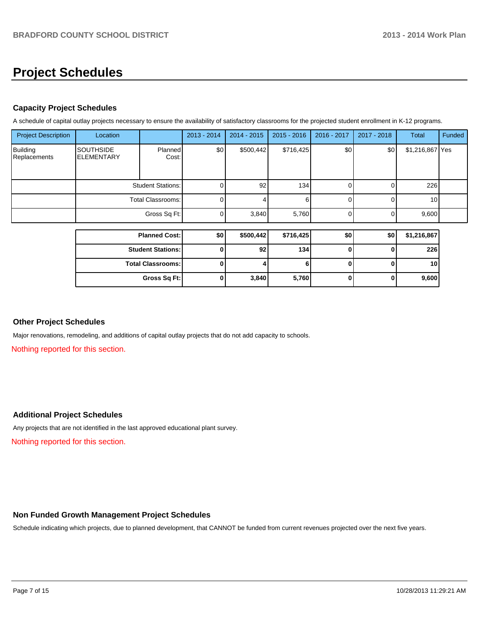# **Project Schedules**

## **Capacity Project Schedules**

A schedule of capital outlay projects necessary to ensure the availability of satisfactory classrooms for the projected student enrollment in K-12 programs.

| <b>Project Description</b>      | Location                              |                      | 2013 - 2014 | $2014 - 2015$ | $2015 - 2016$ | 2016 - 2017      | $2017 - 2018$ | Total           | Funded |
|---------------------------------|---------------------------------------|----------------------|-------------|---------------|---------------|------------------|---------------|-----------------|--------|
| <b>Building</b><br>Replacements | <b>SOUTHSIDE</b><br><b>ELEMENTARY</b> | Planned<br>Cost:     | \$0         | \$500,442]    | \$716,425     | \$0 <sub>l</sub> | \$0           | \$1,216,867 Yes |        |
|                                 | <b>Student Stations:</b>              |                      | (1)         | 92            | 134           |                  |               | 226             |        |
|                                 | Total Classrooms:                     |                      | 01          |               | 6             |                  |               | 10              |        |
|                                 | Gross Sq Ft:                          |                      | $\Omega$    | 3,840         | 5,760         |                  |               | 9,600           |        |
|                                 |                                       | <b>Planned Cost:</b> | \$0         | \$500,442     | \$716,425     | \$0              | \$0           | \$1,216,867     |        |
|                                 |                                       |                      |             |               |               |                  |               |                 |        |

|                          | .     | - -   |   | $\sim$ $\sim$ $\sim$ |
|--------------------------|-------|-------|---|----------------------|
| <b>Student Stations:</b> | 92    | 134   | υ | 226                  |
| <b>Total Classrooms:</b> |       |       | υ | 10                   |
| Gross Sq Ft:             | 3,840 | 5,760 | υ | 9,600                |

## **Other Project Schedules**

Major renovations, remodeling, and additions of capital outlay projects that do not add capacity to schools.

Nothing reported for this section.

## **Additional Project Schedules**

Any projects that are not identified in the last approved educational plant survey.

Nothing reported for this section.

## **Non Funded Growth Management Project Schedules**

Schedule indicating which projects, due to planned development, that CANNOT be funded from current revenues projected over the next five years.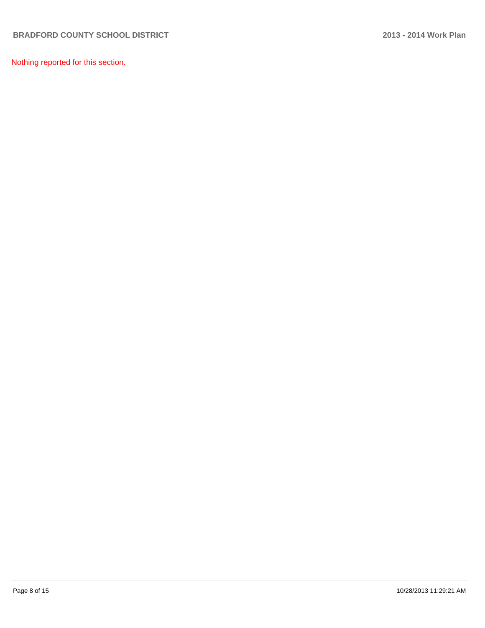Nothing reported for this section.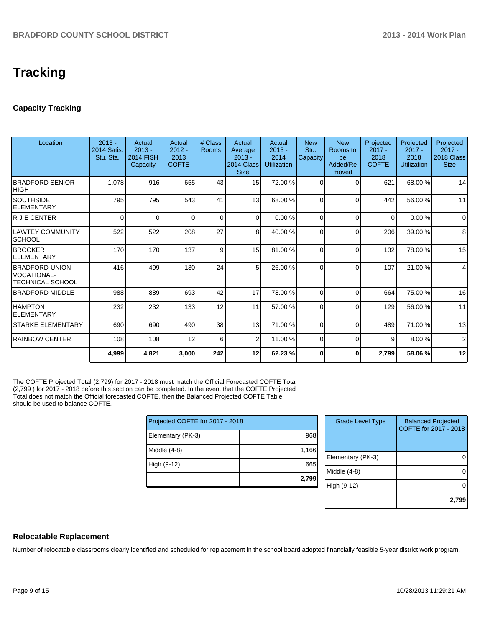# **Tracking**

## **Capacity Tracking**

| Location                                                    | $2013 -$<br>2014 Satis<br>Stu. Sta. | Actual<br>$2013 -$<br><b>2014 FISH</b><br>Capacity | Actual<br>$2012 -$<br>2013<br><b>COFTE</b> | # Class<br><b>Rooms</b> | Actual<br>Average<br>$2013 -$<br>2014 Class<br><b>Size</b> | Actual<br>$2013 -$<br>2014<br><b>Utilization</b> | <b>New</b><br>Stu.<br>Capacity | <b>New</b><br>Rooms to<br>be<br>Added/Re<br>moved | Projected<br>$2017 -$<br>2018<br><b>COFTE</b> | Projected<br>$2017 -$<br>2018<br><b>Utilization</b> | Projected<br>$2017 -$<br>2018 Class<br><b>Size</b> |
|-------------------------------------------------------------|-------------------------------------|----------------------------------------------------|--------------------------------------------|-------------------------|------------------------------------------------------------|--------------------------------------------------|--------------------------------|---------------------------------------------------|-----------------------------------------------|-----------------------------------------------------|----------------------------------------------------|
| <b>IBRADFORD SENIOR</b><br>IHIGH                            | 1,078                               | 916                                                | 655                                        | 43                      | 15                                                         | 72.00 %                                          | $\Omega$                       | $\Omega$                                          | 621                                           | 68.00 %                                             | 14                                                 |
| ISOUTHSIDE<br><b>ELEMENTARY</b>                             | 795                                 | 795                                                | 543                                        | 41                      | 13 <sup>1</sup>                                            | 68.00 %                                          | $\Omega$                       | $\Omega$                                          | 442                                           | 56.00 %                                             | 11                                                 |
| lr J E CENTER                                               | 0                                   | $\Omega$                                           | <sup>0</sup>                               | $\Omega$                | $\Omega$                                                   | 0.00 %                                           | 0                              | $\Omega$                                          | $\Omega$                                      | 0.00%                                               | $\mathbf 0$                                        |
| ILAWTEY COMMUNITY<br>ISCHOOL                                | 522                                 | 522                                                | 208                                        | 27                      | 8 <sup>1</sup>                                             | 40.00 %                                          | $\Omega$                       | $\Omega$                                          | 206                                           | 39.00 %                                             | 8                                                  |
| <b>BROOKER</b><br><b>IELEMENTARY</b>                        | 170                                 | 170                                                | 137                                        | 9                       | 15                                                         | 81.00 %                                          | $\Omega$                       | $\Omega$                                          | 132                                           | 78.00 %                                             | 15                                                 |
| <b>IBRADFORD-UNION</b><br>IVOCATIONAL-<br>ITECHNICAL SCHOOL | 416                                 | 499                                                | 130                                        | 24                      | 5 <sup>1</sup>                                             | 26.00 %                                          | $\Omega$                       | $\Omega$                                          | 107                                           | 21.00%                                              | 4                                                  |
| <b>IBRADFORD MIDDLE</b>                                     | 988                                 | 889                                                | 693                                        | 42                      | 17                                                         | 78.00 %                                          | $\Omega$                       | $\Omega$                                          | 664                                           | 75.00 %                                             | 16                                                 |
| <b>HAMPTON</b><br><b>ELEMENTARY</b>                         | 232                                 | 232                                                | 133                                        | 12                      | 11                                                         | 57.00 %                                          | $\Omega$                       | $\Omega$                                          | 129                                           | 56.00 %                                             | 11                                                 |
| ISTARKE ELEMENTARY                                          | 690                                 | 690                                                | 490                                        | 38                      | 13                                                         | 71.00 %                                          | $\Omega$                       | $\Omega$                                          | 489                                           | 71.00 %                                             | 13                                                 |
| <b>IRAINBOW CENTER</b>                                      | 108                                 | 108                                                | 12                                         | 6                       | 2                                                          | 11.00 %                                          | $\Omega$                       | $\Omega$                                          | 9                                             | 8.00%                                               | $\overline{2}$                                     |
|                                                             | 4,999                               | 4,821                                              | 3,000                                      | 242                     | 12                                                         | 62.23 %                                          | 0                              | 0                                                 | 2,799                                         | 58.06%                                              | 12                                                 |

The COFTE Projected Total (2,799) for 2017 - 2018 must match the Official Forecasted COFTE Total (2,799 ) for 2017 - 2018 before this section can be completed. In the event that the COFTE Projected Total does not match the Official forecasted COFTE, then the Balanced Projected COFTE Table should be used to balance COFTE.

| Projected COFTE for 2017 - 2018 |       |  |  |  |  |  |
|---------------------------------|-------|--|--|--|--|--|
| Elementary (PK-3)               | 968   |  |  |  |  |  |
| Middle $(4-8)$                  | 1,166 |  |  |  |  |  |
| High (9-12)                     | 665   |  |  |  |  |  |
|                                 | 2,799 |  |  |  |  |  |

| <b>Grade Level Type</b> | <b>Balanced Projected</b><br>COFTE for 2017 - 2018 |
|-------------------------|----------------------------------------------------|
| Elementary (PK-3)       |                                                    |
| Middle $(4-8)$          |                                                    |
| High (9-12)             |                                                    |
|                         | 2,799                                              |

## **Relocatable Replacement**

Number of relocatable classrooms clearly identified and scheduled for replacement in the school board adopted financially feasible 5-year district work program.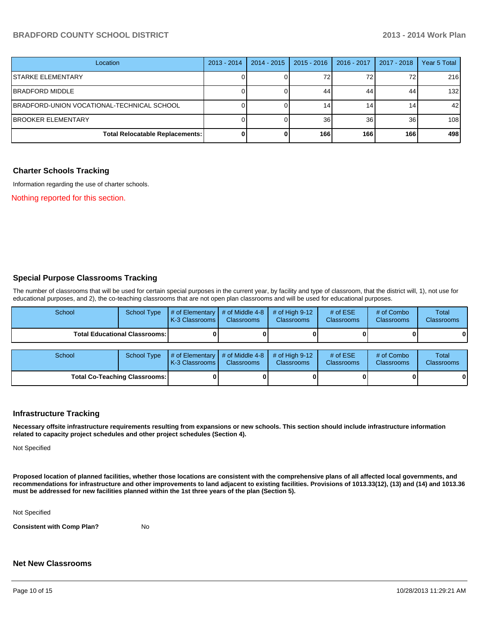## **BRADFORD COUNTY SCHOOL DISTRICT 2013 - 2014 Work Plan**

| Location                                   | $2013 - 2014$ | 2014 - 2015 | 2015 - 2016     | $2016 - 2017$ | 2017 - 2018 | Year 5 Total |
|--------------------------------------------|---------------|-------------|-----------------|---------------|-------------|--------------|
| <b>STARKE ELEMENTARY</b>                   |               |             | 72              |               | 72          | 216          |
| BRADFORD MIDDLE                            |               |             | 44              | 44            | 44          | 132          |
| BRADFORD-UNION VOCATIONAL-TECHNICAL SCHOOL |               |             | 14 <sub>1</sub> |               | 14.         | 42           |
| <b>BROOKER ELEMENTARY</b>                  |               |             | 36              | 36            | 36          | 108          |
| <b>Total Relocatable Replacements:</b>     |               |             | 166             | 166           | 166         | 498          |

#### **Charter Schools Tracking**

Information regarding the use of charter schools.

Nothing reported for this section.

#### **Special Purpose Classrooms Tracking**

The number of classrooms that will be used for certain special purposes in the current year, by facility and type of classroom, that the district will, 1), not use for educational purposes, and 2), the co-teaching classrooms that are not open plan classrooms and will be used for educational purposes.

| School                                 | <b>School Type</b> | # of Elementary<br>K-3 Classrooms   | # of Middle 4-8<br><b>Classrooms</b> | # of High $9-12$<br><b>Classrooms</b> | # of $ESE$<br><b>Classrooms</b> | # of Combo<br><b>Classrooms</b> | Total<br>Classrooms |
|----------------------------------------|--------------------|-------------------------------------|--------------------------------------|---------------------------------------|---------------------------------|---------------------------------|---------------------|
| <b>Total Educational Classrooms: I</b> |                    |                                     |                                      |                                       |                                 |                                 | 0                   |
| School                                 | <b>School Type</b> | # of Elementary<br>K-3 Classrooms I | # of Middle 4-8<br>Classrooms        | # of High $9-12$<br>Classrooms        | # of $ESE$<br><b>Classrooms</b> | # of Combo<br><b>Classrooms</b> | Total<br>Classrooms |
| <b>Total Co-Teaching Classrooms:</b>   |                    |                                     |                                      |                                       |                                 |                                 | 0                   |

#### **Infrastructure Tracking**

**Necessary offsite infrastructure requirements resulting from expansions or new schools. This section should include infrastructure information related to capacity project schedules and other project schedules (Section 4).**

Not Specified

**Proposed location of planned facilities, whether those locations are consistent with the comprehensive plans of all affected local governments, and recommendations for infrastructure and other improvements to land adjacent to existing facilities. Provisions of 1013.33(12), (13) and (14) and 1013.36 must be addressed for new facilities planned within the 1st three years of the plan (Section 5).**

Not Specified

**Consistent with Comp Plan?** No

#### **Net New Classrooms**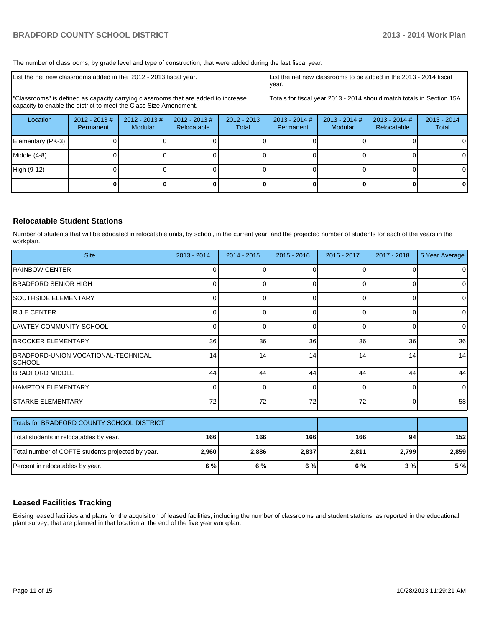The number of classrooms, by grade level and type of construction, that were added during the last fiscal year.

| List the net new classrooms added in the 2012 - 2013 fiscal year.                                                                                       | List the net new classrooms to be added in the 2013 - 2014 fiscal<br>year. |                                   |                                 |                        |                              |                            |                                |                        |
|---------------------------------------------------------------------------------------------------------------------------------------------------------|----------------------------------------------------------------------------|-----------------------------------|---------------------------------|------------------------|------------------------------|----------------------------|--------------------------------|------------------------|
| "Classrooms" is defined as capacity carrying classrooms that are added to increase<br>capacity to enable the district to meet the Class Size Amendment. | Totals for fiscal year 2013 - 2014 should match totals in Section 15A.     |                                   |                                 |                        |                              |                            |                                |                        |
| Location                                                                                                                                                | $2012 - 2013 \#$<br>Permanent                                              | $2012 - 2013$ #<br><b>Modular</b> | $2012 - 2013 \#$<br>Relocatable | $2012 - 2013$<br>Total | $2013 - 2014$ #<br>Permanent | $2013 - 2014$ #<br>Modular | $2013 - 2014$ #<br>Relocatable | $2013 - 2014$<br>Total |
| Elementary (PK-3)                                                                                                                                       |                                                                            |                                   |                                 |                        |                              |                            |                                | 0                      |
| Middle (4-8)                                                                                                                                            |                                                                            |                                   |                                 |                        |                              |                            |                                | 0                      |
| High (9-12)                                                                                                                                             |                                                                            |                                   |                                 |                        |                              |                            |                                | 0                      |
|                                                                                                                                                         |                                                                            |                                   |                                 |                        |                              |                            |                                | 0                      |

#### **Relocatable Student Stations**

Number of students that will be educated in relocatable units, by school, in the current year, and the projected number of students for each of the years in the workplan.

| <b>Site</b>                                          | $2013 - 2014$ | $2014 - 2015$ | $2015 - 2016$ | 2016 - 2017 | 2017 - 2018 | 5 Year Average |
|------------------------------------------------------|---------------|---------------|---------------|-------------|-------------|----------------|
| <b>IRAINBOW CENTER</b>                               |               |               |               | 0           |             | 0              |
| BRADFORD SENIOR HIGH                                 |               |               |               | ∩           |             | 0              |
| <b>SOUTHSIDE ELEMENTARY</b>                          | ſ             |               | U             | $\Omega$    | $\Omega$    | $\overline{0}$ |
| R J E CENTER                                         |               |               | o             | $\Omega$    | 0           | $\Omega$       |
| <b>LAWTEY COMMUNITY SCHOOL</b>                       |               |               |               | $\Omega$    | 0           | $\Omega$       |
| <b>BROOKER ELEMENTARY</b>                            | 36            | 36            | 36            | 36          | 36          | 36             |
| BRADFORD-UNION VOCATIONAL-TECHNICAL<br><b>SCHOOL</b> | 14            | 14            | 14            | 14          | 14          | 14             |
| <b>IBRADFORD MIDDLE</b>                              | 44            | 44            | 44            | 44          | 44          | 44             |
| HAMPTON ELEMENTARY                                   | $\Omega$      |               | o             | 0           | 0           | $\overline{0}$ |
| ISTARKE ELEMENTARY                                   | 72            | 72            | 72            | 72          | 0           | 58             |
| Totals for BRADFORD COUNTY SCHOOL DISTRICT           |               |               |               |             |             |                |
| Total students in relocatables by year.              | 166           | 166           | 166           | 166         | 94          | 152            |

#### **Leased Facilities Tracking**

Exising leased facilities and plans for the acquisition of leased facilities, including the number of classrooms and student stations, as reported in the educational plant survey, that are planned in that location at the end of the five year workplan.

Total number of COFTE students projected by year. **2,960 2,886 2,837 2,811 2,799 2,859** Percent in relocatables by year. **6 % 6 % 6 % 6 % 3 % 5 %**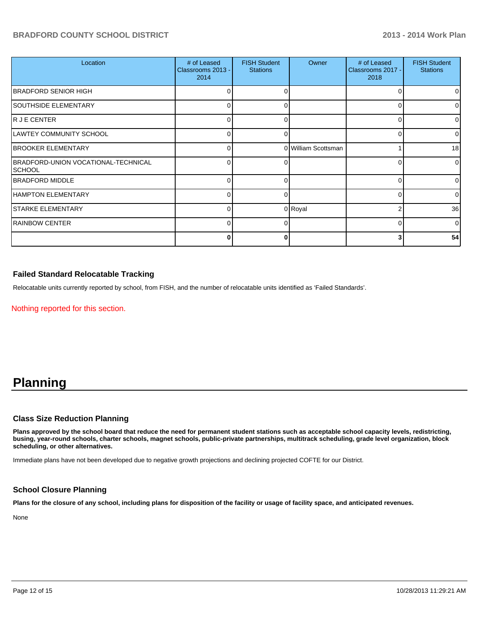## **BRADFORD COUNTY SCHOOL DISTRICT 2013 - 2014 Work Plan**

| Location                                       | # of Leased<br>Classrooms 2013 -<br>2014 | <b>FISH Student</b><br><b>Stations</b> | Owner               | # of Leased<br>Classrooms 2017 -<br>2018 | <b>FISH Student</b><br><b>Stations</b> |
|------------------------------------------------|------------------------------------------|----------------------------------------|---------------------|------------------------------------------|----------------------------------------|
| <b>BRADFORD SENIOR HIGH</b>                    |                                          |                                        |                     |                                          | 01                                     |
| ISOUTHSIDE ELEMENTARY                          | n                                        |                                        |                     | C                                        | 01                                     |
| R J E CENTER                                   | 0                                        | ∩                                      |                     | C                                        | $\Omega$                               |
| LAWTEY COMMUNITY SCHOOL                        | 0                                        | O                                      |                     |                                          | $\Omega$                               |
| <b>BROOKER ELEMENTARY</b>                      | 0                                        |                                        | 0 William Scottsman |                                          | 18 <sup>l</sup>                        |
| BRADFORD-UNION VOCATIONAL-TECHNICAL<br> SCHOOL | 0                                        |                                        |                     |                                          | $\overline{0}$                         |
| <b>IBRADFORD MIDDLE</b>                        | <sup>0</sup>                             | ∩                                      |                     | ∩                                        | $\overline{0}$                         |
| HAMPTON ELEMENTARY                             | 0                                        | U                                      |                     |                                          | $\Omega$                               |
| <b>STARKE ELEMENTARY</b>                       | 0                                        |                                        | 0 Royal             |                                          | 36                                     |
| <b>RAINBOW CENTER</b>                          | 0                                        |                                        |                     | ∩                                        | $\overline{0}$                         |
|                                                | 0                                        |                                        |                     | 3                                        | 54                                     |

## **Failed Standard Relocatable Tracking**

Relocatable units currently reported by school, from FISH, and the number of relocatable units identified as 'Failed Standards'.

Nothing reported for this section.

## **Planning**

#### **Class Size Reduction Planning**

**Plans approved by the school board that reduce the need for permanent student stations such as acceptable school capacity levels, redistricting, busing, year-round schools, charter schools, magnet schools, public-private partnerships, multitrack scheduling, grade level organization, block scheduling, or other alternatives.**

Immediate plans have not been developed due to negative growth projections and declining projected COFTE for our District.

#### **School Closure Planning**

**Plans for the closure of any school, including plans for disposition of the facility or usage of facility space, and anticipated revenues.**

None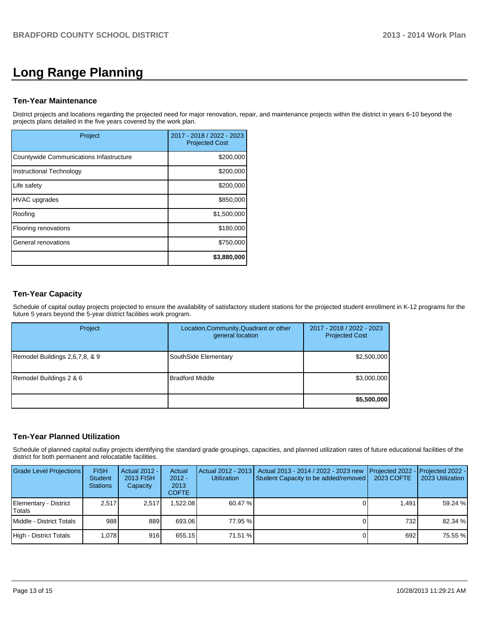# **Long Range Planning**

### **Ten-Year Maintenance**

District projects and locations regarding the projected need for major renovation, repair, and maintenance projects within the district in years 6-10 beyond the projects plans detailed in the five years covered by the work plan.

| Project                                 | 2017 - 2018 / 2022 - 2023<br><b>Projected Cost</b> |
|-----------------------------------------|----------------------------------------------------|
| Countywide Communications Infastructure | \$200,000                                          |
| Instructional Technology                | \$200,000                                          |
| Life safety                             | \$200,000                                          |
| HVAC upgrades                           | \$850,000                                          |
| Roofing                                 | \$1,500,000                                        |
| Flooring renovations                    | \$180,000                                          |
| General renovations                     | \$750,000                                          |
|                                         | \$3,880,000                                        |

## **Ten-Year Capacity**

Schedule of capital outlay projects projected to ensure the availability of satisfactory student stations for the projected student enrollment in K-12 programs for the future 5 years beyond the 5-year district facilities work program.

| Project                        | Location, Community, Quadrant or other<br>general location | 2017 - 2018 / 2022 - 2023<br><b>Projected Cost</b> |
|--------------------------------|------------------------------------------------------------|----------------------------------------------------|
| Remodel Buildings 2,6,7,8, & 9 | SouthSide Elementary                                       | \$2,500,000                                        |
| Remodel Buildings 2 & 6        | <b>Bradford Middle</b>                                     | \$3,000,000                                        |
|                                |                                                            | \$5,500,000                                        |

## **Ten-Year Planned Utilization**

Schedule of planned capital outlay projects identifying the standard grade groupings, capacities, and planned utilization rates of future educational facilities of the district for both permanent and relocatable facilities.

| <b>Grade Level Projections</b>   | <b>FISH</b><br><b>Student</b><br><b>Stations</b> | Actual 2012 -<br>2013 FISH<br>Capacity | Actual<br>$2012 -$<br>2013<br><b>COFTE</b> | <b>Utilization</b> | Actual 2012 - 2013   Actual 2013 - 2014 / 2022 - 2023 new<br>Student Capacity to be added/removed | 2023 COFTE | <b>I</b> Projected 2022 - <b>I</b> Projected 2022 -<br>2023 Utilization |
|----------------------------------|--------------------------------------------------|----------------------------------------|--------------------------------------------|--------------------|---------------------------------------------------------------------------------------------------|------------|-------------------------------------------------------------------------|
| Elementary - District<br>lTotals | 2.517                                            | 2.517                                  | .522.08                                    | 60.47 %            |                                                                                                   | 1.491      | 59.24 %                                                                 |
| Middle - District Totals         | 988                                              | 889                                    | 693.06                                     | 77.95 %            |                                                                                                   | 732        | 82.34 %                                                                 |
| High - District Totals           | 1.078                                            | 916                                    | 655.15                                     | 71.51 %            |                                                                                                   | 692        | 75.55 %                                                                 |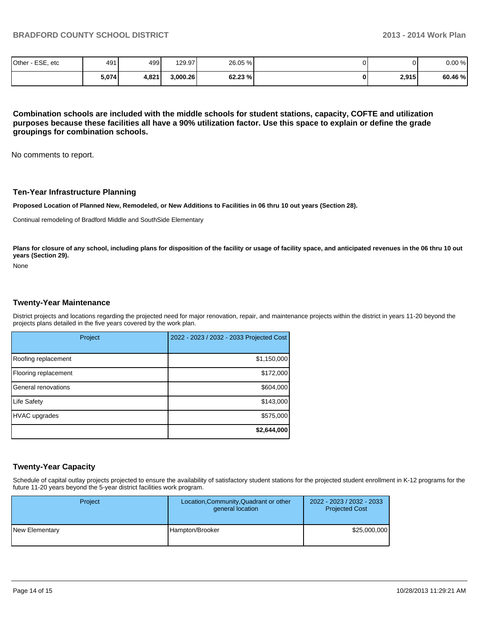| Other - ESE, etc | 491   | 499 <sup>I</sup> | 129.97   | 26.05 % | 01    | 0.00%   |
|------------------|-------|------------------|----------|---------|-------|---------|
|                  | 5,074 | 4,821            | 3,000.26 | 62.23%  | 2,915 | 60.46 % |

**Combination schools are included with the middle schools for student stations, capacity, COFTE and utilization purposes because these facilities all have a 90% utilization factor. Use this space to explain or define the grade groupings for combination schools.**

No comments to report.

#### **Ten-Year Infrastructure Planning**

**Proposed Location of Planned New, Remodeled, or New Additions to Facilities in 06 thru 10 out years (Section 28).**

Continual remodeling of Bradford Middle and SouthSide Elementary

Plans for closure of any school, including plans for disposition of the facility or usage of facility space, and anticipated revenues in the 06 thru 10 out **years (Section 29).**

None

#### **Twenty-Year Maintenance**

District projects and locations regarding the projected need for major renovation, repair, and maintenance projects within the district in years 11-20 beyond the projects plans detailed in the five years covered by the work plan.

| Project              | 2022 - 2023 / 2032 - 2033 Projected Cost |
|----------------------|------------------------------------------|
| Roofing replacement  | \$1,150,000                              |
| Flooring replacement | \$172,000                                |
| General renovations  | \$604,000                                |
| Life Safety          | \$143,000                                |
| <b>HVAC</b> upgrades | \$575,000                                |
|                      | \$2,644,000                              |

#### **Twenty-Year Capacity**

Schedule of capital outlay projects projected to ensure the availability of satisfactory student stations for the projected student enrollment in K-12 programs for the future 11-20 years beyond the 5-year district facilities work program.

| Project        | Location, Community, Quadrant or other<br>general location | 2022 - 2023 / 2032 - 2033<br><b>Projected Cost</b> |  |
|----------------|------------------------------------------------------------|----------------------------------------------------|--|
| New Elementary | Hampton/Brooker                                            | \$25,000,000                                       |  |